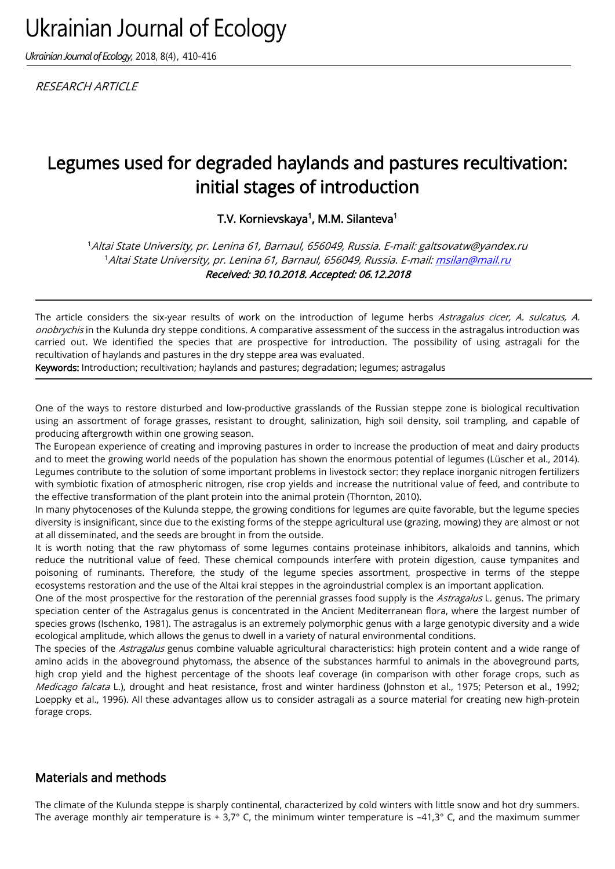# Ukrainian Journal of Ecology

*Ukrainian Journal of Ecology,* 2018, 8(4), 410-416

**RESEARCH ARTICLE** 

# Legumes used for degraded haylands and pastures recultivation: initial stages of introduction

T.V. Kornievskaya<sup>1</sup>, M.M. Silanteva<sup>1</sup>

<sup>1</sup>Altai State University, pr. Lenina 61, Barnaul, 656049, Russia. E-mail: galtsovatw@yandex.ru <sup>1</sup>Altai State University, pr. Lenina 61, Barnaul, 656049, Russia. E-mail[: msilan@mail.ru](mailto:msilan@mail.ru) Received: 30.10.2018. Accepted: 06.12.2018

The article considers the six-year results of work on the introduction of legume herbs Astragalus cicer, A. sulcatus, A. onobrychis in the Kulunda dry steppe conditions. A comparative assessment of the success in the astragalus introduction was carried out. We identified the species that are prospective for introduction. The possibility of using astragali for the recultivation of haylands and pastures in the dry steppe area was evaluated.

Keywords: Introduction; recultivation; haylands and pastures; degradation; legumes; astragalus

One of the ways to restore disturbed and low-productive grasslands of the Russian steppe zone is biological recultivation using an assortment of forage grasses, resistant to drought, salinization, high soil density, soil trampling, and capable of producing aftergrowth within one growing season.

The European experience of creating and improving pastures in order to increase the production of meat and dairy products and to meet the growing world needs of the population has shown the enormous potential of legumes (Lüscher et al., 2014). Legumes contribute to the solution of some important problems in livestock sector: they replace inorganic nitrogen fertilizers with symbiotic fixation of atmospheric nitrogen, rise crop yields and increase the nutritional value of feed, and contribute to the effective transformation of the plant protein into the animal protein (Thornton, 2010).

In many phytocenoses of the Kulunda steppe, the growing conditions for legumes are quite favorable, but the legume species diversity is insignificant, since due to the existing forms of the steppe agricultural use (grazing, mowing) they are almost or not at all disseminated, and the seeds are brought in from the outside.

It is worth noting that the raw phytomass of some legumes contains proteinase inhibitors, alkaloids and tannins, which reduce the nutritional value of feed. These chemical compounds interfere with protein digestion, cause tympanites and poisoning of ruminants. Therefore, the study of the legume species assortment, prospective in terms of the steppe ecosystems restoration and the use of the Altai krai steppes in the agroindustrial complex is an important application.

One of the most prospective for the restoration of the perennial grasses food supply is the Astragalus L. genus. The primary speciation center of the Astragalus genus is concentrated in the Ancient Mediterranean flora, where the largest number of species grows (Ischenko, 1981). The astragalus is an extremely polymorphic genus with a large genotypic diversity and a wide ecological amplitude, which allows the genus to dwell in a variety of natural environmental conditions.

The species of the Astragalus genus combine valuable agricultural characteristics: high protein content and a wide range of amino acids in the aboveground phytomass, the absence of the substances harmful to animals in the aboveground parts, high crop yield and the highest percentage of the shoots leaf coverage (in comparison with other forage crops, such as Medicago falcata L.), drought and heat resistance, frost and winter hardiness (Johnston et al., 1975; Peterson et al., 1992; Loeppky et al., 1996). All these advantages allow us to consider astragali as a source material for creating new high-protein forage crops.

## Materials and methods

The climate of the Kulunda steppe is sharply continental, characterized by cold winters with little snow and hot dry summers. The average monthly air temperature is  $+3.7^{\circ}$  C, the minimum winter temperature is  $-41.3^{\circ}$  C, and the maximum summer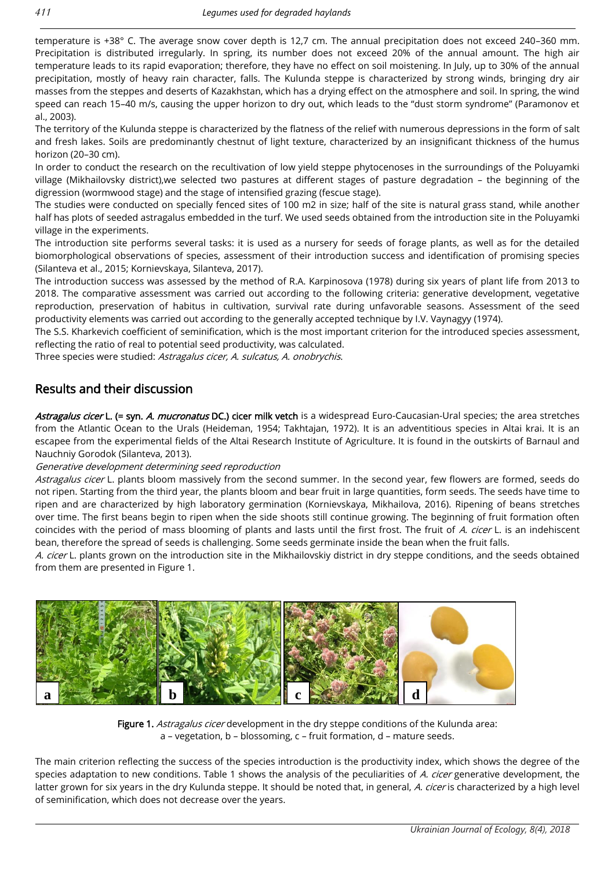temperature is +38° C. The average snow cover depth is 12,7 cm. The annual precipitation does not exceed 240–360 mm. Precipitation is distributed irregularly. In spring, its number does not exceed 20% of the annual amount. The high air temperature leads to its rapid evaporation; therefore, they have no effect on soil moistening. In July, up to 30% of the annual precipitation, mostly of heavy rain character, falls. The Kulunda steppe is characterized by strong winds, bringing dry air masses from the steppes and deserts of Kazakhstan, which has a drying effect on the atmosphere and soil. In spring, the wind speed can reach 15–40 m/s, causing the upper horizon to dry out, which leads to the "dust storm syndrome" (Paramonov et al., 2003).

The territory of the Kulunda steppe is characterized by the flatness of the relief with numerous depressions in the form of salt and fresh lakes. Soils are predominantly chestnut of light texture, characterized by an insignificant thickness of the humus horizon (20–30 cm).

In order to conduct the research on the recultivation of low yield steppe phytocenoses in the surroundings of the Poluyamki village (Mikhailovsky district),we selected two pastures at different stages of pasture degradation – the beginning of the digression (wormwood stage) and the stage of intensified grazing (fescue stage).

The studies were conducted on specially fenced sites of 100 m2 in size; half of the site is natural grass stand, while another half has plots of seeded astragalus embedded in the turf. We used seeds obtained from the introduction site in the Poluyamki village in the experiments.

The introduction site performs several tasks: it is used as a nursery for seeds of forage plants, as well as for the detailed biomorphological observations of species, assessment of their introduction success and identification of promising species (Silanteva et al., 2015; Kornievskaya, Silanteva, 2017).

The introduction success was assessed by the method of R.A. Karpinosova (1978) during six years of plant life from 2013 to 2018. The comparative assessment was carried out according to the following criteria: generative development, vegetative reproduction, preservation of habitus in cultivation, survival rate during unfavorable seasons. Assessment of the seed productivity elements was carried out according to the generally accepted technique by I.V. Vaynagyy (1974).

The S.S. Kharkevich coefficient of seminification, which is the most important criterion for the introduced species assessment, reflecting the ratio of real to potential seed productivity, was calculated.

Three species were studied: Astragalus cicer, A. sulcatus, A. onobrychis.

### Results and their discussion

Astragalus cicer L. (= syn. A. mucronatus DC.) cicer milk vetch is a widespread Euro-Caucasian-Ural species; the area stretches from the Atlantic Ocean to the Urals (Heideman, 1954; Takhtajan, 1972). It is an adventitious species in Altai krai. It is an escapee from the experimental fields of the Altai Research Institute of Agriculture. It is found in the outskirts of Barnaul and Nauchniy Gorodok (Silanteva, 2013).

#### Generative development determining seed reproduction

Astragalus cicer L. plants bloom massively from the second summer. In the second year, few flowers are formed, seeds do not ripen. Starting from the third year, the plants bloom and bear fruit in large quantities, form seeds. The seeds have time to ripen and are characterized by high laboratory germination (Kornievskaya, Mikhailova, 2016). Ripening of beans stretches over time. The first beans begin to ripen when the side shoots still continue growing. The beginning of fruit formation often coincides with the period of mass blooming of plants and lasts until the first frost. The fruit of A. cicer L. is an indehiscent bean, therefore the spread of seeds is challenging. Some seeds germinate inside the bean when the fruit falls.

A. cicer L. plants grown on the introduction site in the Mikhailovskiy district in dry steppe conditions, and the seeds obtained from them are presented in Figure 1.



Figure 1. Astragalus cicer development in the dry steppe conditions of the Kulunda area: a – vegetation, b – blossoming, c – fruit formation, d – mature seeds.

The main criterion reflecting the success of the species introduction is the productivity index, which shows the degree of the species adaptation to new conditions. Table 1 shows the analysis of the peculiarities of A. cicer generative development, the latter grown for six years in the dry Kulunda steppe. It should be noted that, in general, A. cicer is characterized by a high level of seminification, which does not decrease over the years.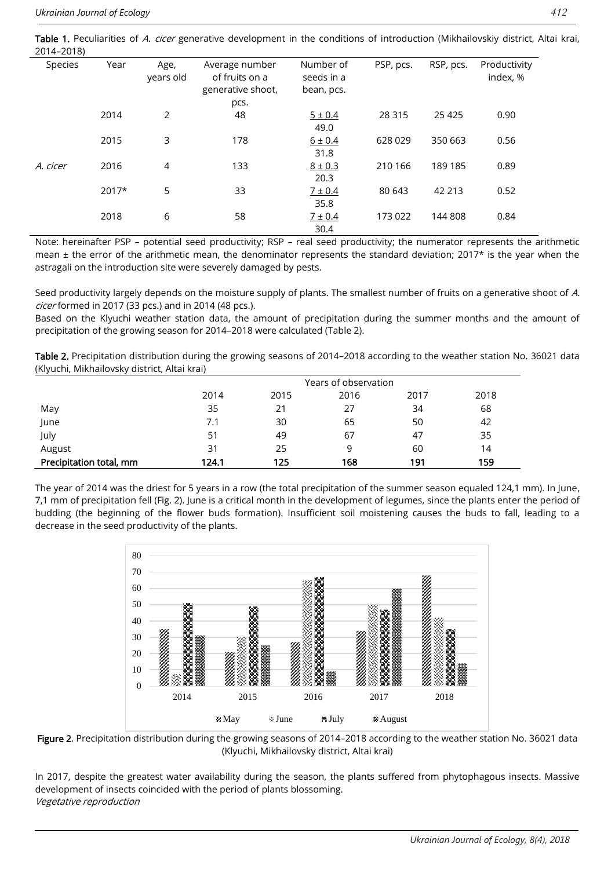Table 1. Peculiarities of A. cicer generative development in the conditions of introduction (Mikhailovskiy district, Altai krai, 2014–2018)

| $- - - - - -$ |         |                   |                                                       |                                       |           |           |                          |
|---------------|---------|-------------------|-------------------------------------------------------|---------------------------------------|-----------|-----------|--------------------------|
| Species       | Year    | Age,<br>years old | Average number<br>of fruits on a<br>generative shoot, | Number of<br>seeds in a<br>bean, pcs. | PSP, pcs. | RSP, pcs. | Productivity<br>index, % |
|               |         |                   | pcs.                                                  |                                       |           |           |                          |
|               | 2014    | 2                 | 48                                                    | $5 \pm 0.4$                           | 28 3 15   | 25 4 25   | 0.90                     |
|               |         |                   |                                                       | 49.0                                  |           |           |                          |
|               | 2015    | 3                 | 178                                                   | $6 \pm 0.4$                           | 628 029   | 350 663   | 0.56                     |
|               |         |                   |                                                       | 31.8                                  |           |           |                          |
| A. cicer      | 2016    | 4                 | 133                                                   | $8 \pm 0.3$                           | 210 166   | 189 185   | 0.89                     |
|               |         |                   |                                                       | 20.3                                  |           |           |                          |
|               | $2017*$ | 5                 | 33                                                    | 7 ± 0.4                               | 80 643    | 42 213    | 0.52                     |
|               |         |                   |                                                       | 35.8                                  |           |           |                          |
|               | 2018    | 6                 | 58                                                    | 7 ± 0.4                               | 173 022   | 144 808   | 0.84                     |
|               |         |                   |                                                       | 30.4                                  |           |           |                          |

Note: hereinafter PSP – potential seed productivity; RSP – real seed productivity; the numerator represents the arithmetic mean  $\pm$  the error of the arithmetic mean, the denominator represents the standard deviation; 2017 $*$  is the year when the astragali on the introduction site were severely damaged by pests.

Seed productivity largely depends on the moisture supply of plants. The smallest number of fruits on a generative shoot of A. cicer formed in 2017 (33 pcs.) and in 2014 (48 pcs.).

Based on the Klyuchi weather station data, the amount of precipitation during the summer months and the amount of precipitation of the growing season for 2014–2018 were calculated (Table 2).

Table 2. Precipitation distribution during the growing seasons of 2014-2018 according to the weather station No. 36021 data (Klyuchi, Mikhailovsky district, Altai krai)

|                         |       |      | Years of observation |      |      |
|-------------------------|-------|------|----------------------|------|------|
|                         | 2014  | 2015 | 2016                 | 2017 | 2018 |
| May                     | 35    | 21   | 27                   | 34   | 68   |
| June                    | 7.1   | 30   | 65                   | 50   | 42   |
| July                    | 51    | 49   | 67                   | 47   | 35   |
| August                  | 31    | 25   | 9                    | 60   | 14   |
| Precipitation total, mm | 124.1 | 125  | 168                  | 191  | 159  |

The year of 2014 was the driest for 5 years in a row (the total precipitation of the summer season equaled 124,1 mm). In June, 7,1 mm of precipitation fell (Fig. 2). June is a critical month in the development of legumes, since the plants enter the period of budding (the beginning of the flower buds formation). Insufficient soil moistening causes the buds to fall, leading to a decrease in the seed productivity of the plants.



Figure 2. Precipitation distribution during the growing seasons of 2014-2018 according to the weather station No. 36021 data (Klyuchi, Mikhailovsky district, Altai krai)

In 2017, despite the greatest water availability during the season, the plants suffered from phytophagous insects. Massive development of insects coincided with the period of plants blossoming. Vegetative reproduction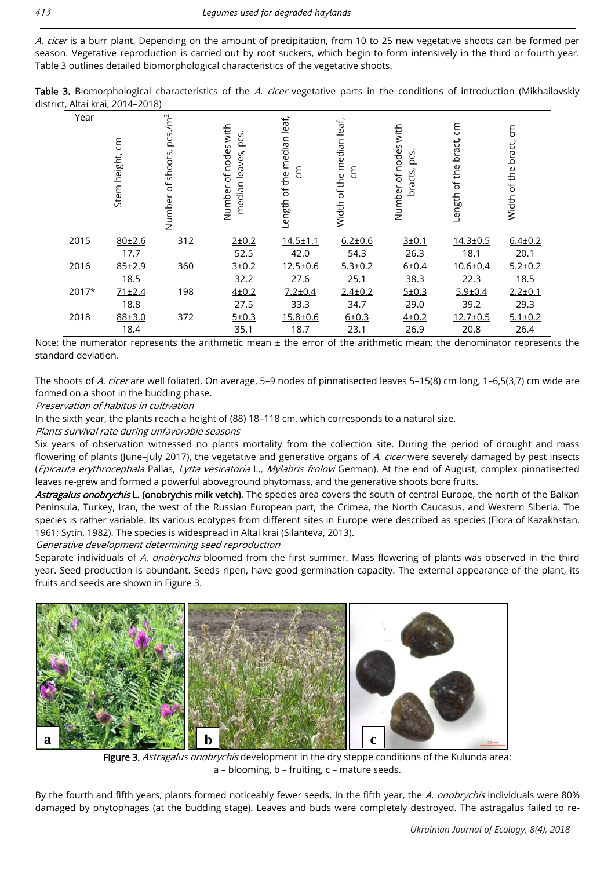A. cicer is a burr plant. Depending on the amount of precipitation, from 10 to 25 new vegetative shoots can be formed per season. Vegetative reproduction is carried out by root suckers, which begin to form intensively in the third or fourth year. Table 3 outlines detailed biomorphological characteristics of the vegetative shoots.

Table 3. Biomorphological characteristics of the A. cicer vegetative parts in the conditions of introduction (Mikhailovskiy district, Altai krai, 2014–2018)

| Year  | ξ<br>Stem height, | pcs/m <sup>2</sup><br>Number of shoots, | Number of nodes with<br>pcs.<br>median leaves, | Length of the median leaf,<br>ξ | leaf,<br>of the median<br>ξ<br>Width | with<br>Number of nodes<br>pcs.<br>bracts, | ξ<br>bract,<br>Length of the | ξ<br>bract,<br>Width of the |
|-------|-------------------|-----------------------------------------|------------------------------------------------|---------------------------------|--------------------------------------|--------------------------------------------|------------------------------|-----------------------------|
| 2015  | 80±2.6            | 312                                     | $2 + 0.2$                                      | $14.5 \pm 1.1$                  | $6.2 + 0.6$                          | $3 + 0.1$                                  | $14.3 \pm 0.5$               | $6.4 \pm 0.2$               |
|       | 17.7              |                                         | 52.5                                           | 42.0                            | 54.3                                 | 26.3                                       | 18.1                         | 20.1                        |
| 2016  | 85±2.9            | 360                                     | $3 + 0.2$                                      | $12.5 \pm 0.6$                  | $5.3 \pm 0.2$                        | 6±0.4                                      | $10.6 + 0.4$                 | $5.2 \pm 0.2$               |
|       | 18.5              |                                         | 32.2                                           | 27.6                            | 25.1                                 | 38.3                                       | 22.3                         | 18.5                        |
| 2017* | 71±2.4            | 198                                     | $4 + 0.2$                                      | $7.2 + 0.4$                     | $2.4 \pm 0.2$                        | 5 ± 0.3                                    | $5.9 \pm 0.4$                | $2.2 \pm 0.1$               |
|       | 18.8              |                                         | 27.5                                           | 33.3                            | 34.7                                 | 29.0                                       | 39.2                         | 29.3                        |
| 2018  | 88±3.0            | 372                                     | 5 ± 0.3                                        | $15.8 + 0.6$                    | $6 + 0.3$                            | $4 + 0.2$                                  | $12.7 \pm 0.5$               | $5.1 \pm 0.2$               |
|       | 18.4              |                                         | 35.1                                           | 18.7                            | 23.1                                 | 26.9                                       | 20.8                         | 26.4                        |

Note: the numerator represents the arithmetic mean  $\pm$  the error of the arithmetic mean; the denominator represents the standard deviation.

The shoots of A. cicer are well foliated. On average, 5-9 nodes of pinnatisected leaves 5-15(8) cm long, 1-6,5(3,7) cm wide are formed on a shoot in the budding phase.

#### Preservation of habitus in cultivation

In the sixth year, the plants reach a height of (88) 18–118 cm, which corresponds to a natural size.

Plants survival rate during unfavorable seasons

Six years of observation witnessed no plants mortality from the collection site. During the period of drought and mass flowering of plants (June-July 2017), the vegetative and generative organs of A. cicer were severely damaged by pest insects (Epicauta erythrocephala Pallas, Lytta vesicatoria L., Mylabris frolovi German). At the end of August, complex pinnatisected leaves re-grew and formed a powerful aboveground phytomass, and the generative shoots bore fruits.

Astragalus onobrychis L. (onobrychis milk vetch). The species area covers the south of central Europe, the north of the Balkan Peninsula, Turkey, Iran, the west of the Russian European part, the Crimea, the North Caucasus, and Western Siberia. The species is rather variable. Its various ecotypes from different sites in Europe were described as species (Flora of Kazakhstan, 1961; Sytin, 1982). The species is widespread in Altai krai (Silanteva, 2013).

#### Generative development determining seed reproduction

Separate individuals of A. onobrychis bloomed from the first summer. Mass flowering of plants was observed in the third year. Seed production is abundant. Seeds ripen, have good germination capacity. The external appearance of the plant, its fruits and seeds are shown in Figure 3.



Figure 3. Astragalus onobrychis development in the dry steppe conditions of the Kulunda area: a – blooming, b – fruiting, c – mature seeds.

By the fourth and fifth years, plants formed noticeably fewer seeds. In the fifth year, the A. onobrychis individuals were 80% damaged by phytophages (at the budding stage). Leaves and buds were completely destroyed. The astragalus failed to re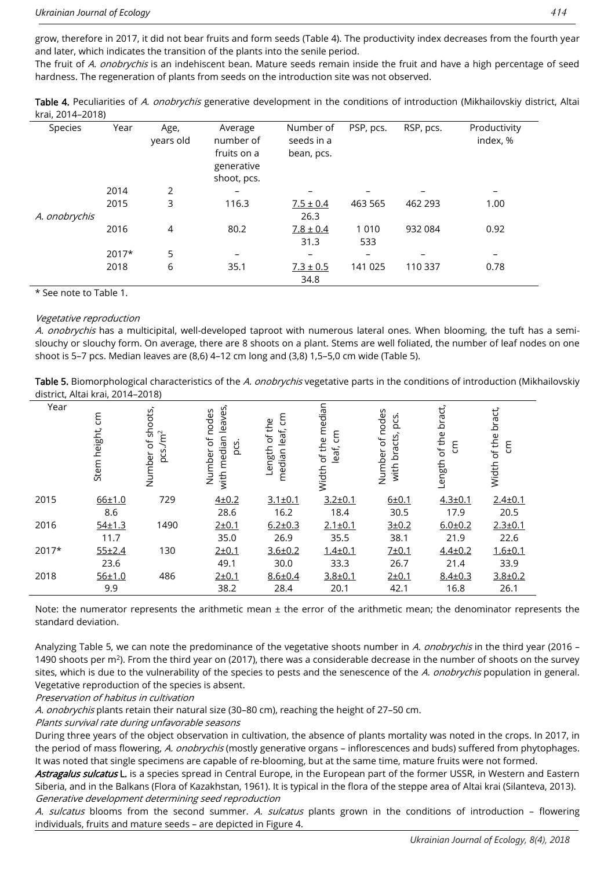grow, therefore in 2017, it did not bear fruits and form seeds (Table 4). The productivity index decreases from the fourth year and later, which indicates the transition of the plants into the senile period.

The fruit of A. onobrychis is an indehiscent bean. Mature seeds remain inside the fruit and have a high percentage of seed hardness. The regeneration of plants from seeds on the introduction site was not observed.

| Table 4. Peculiarities of A. onobrychis generative development in the conditions of introduction (Mikhailovskiy district, Altai |  |
|---------------------------------------------------------------------------------------------------------------------------------|--|
| krai, 2014–2018)                                                                                                                |  |

| Species       | Year    | Age,      | Average                  | Number of                | PSP, pcs. | RSP, pcs. | Productivity |
|---------------|---------|-----------|--------------------------|--------------------------|-----------|-----------|--------------|
|               |         | years old | number of<br>fruits on a | seeds in a<br>bean, pcs. |           |           | index, %     |
|               |         |           | generative               |                          |           |           |              |
|               |         |           | shoot, pcs.              |                          |           |           |              |
|               | 2014    | 2         |                          |                          |           |           |              |
|               | 2015    | 3         | 116.3                    | $7.5 \pm 0.4$            | 463 565   | 462 293   | 1.00         |
| A. onobrychis |         |           |                          | 26.3                     |           |           |              |
|               | 2016    | 4         | 80.2                     | $7.8 \pm 0.4$            | 1 0 1 0   | 932 084   | 0.92         |
|               |         |           |                          | 31.3                     | 533       |           |              |
|               | $2017*$ | 5         |                          |                          |           |           |              |
|               | 2018    | 6         | 35.1                     | $7.3 \pm 0.5$            | 141 025   | 110 337   | 0.78         |
|               |         |           |                          | 34.8                     |           |           |              |

\* See note to Table 1.

#### Vegetative reproduction

A. onobrychis has a multicipital, well-developed taproot with numerous lateral ones. When blooming, the tuft has a semislouchy or slouchy form. On average, there are 8 shoots on a plant. Stems are well foliated, the number of leaf nodes on one shoot is 5–7 pcs. Median leaves are (8,6) 4–12 cm long and (3,8) 1,5–5,0 cm wide (Table 5).

Table 5. Biomorphological characteristics of the A. onobrychis vegetative parts in the conditions of introduction (Mikhailovskiy district, Altai krai, 2014–2018)

| Year    | ξ<br>Stem height, | of shoots,<br>$pcs./m^2$<br>Number | with median leaves,<br>Number of nodes<br>pcs | ξ<br>of the<br>median leaf,<br>Length | of the median<br>ξ<br>leaf,<br>Width | Number of nodes<br>pcs.<br>with bracts, | bract,<br>of the<br>ξ<br>Length | bract,<br>of the<br>ξ<br>Width |
|---------|-------------------|------------------------------------|-----------------------------------------------|---------------------------------------|--------------------------------------|-----------------------------------------|---------------------------------|--------------------------------|
| 2015    | $66 + 1.0$        | 729                                | $4 + 0.2$                                     | $3.1 \pm 0.1$                         | $3.2 + 0.1$                          | $6 + 0.1$                               | $4.3 + 0.1$                     | $2.4 \pm 0.1$                  |
|         | 8.6               |                                    | 28.6                                          | 16.2                                  | 18.4                                 | 30.5                                    | 17.9                            | 20.5                           |
| 2016    | $54 + 1.3$        | 1490                               | $2 + 0.1$                                     | $6.2 \pm 0.3$                         | $2.1 \pm 0.1$                        | $3 + 0.2$                               | $6.0 + 0.2$                     | $2.3 + 0.1$                    |
|         | 11.7              |                                    | 35.0                                          | 26.9                                  | 35.5                                 | 38.1                                    | 21.9                            | 22.6                           |
| $2017*$ | 55±2.4            | 130                                | $2 + 0.1$                                     | $3.6 \pm 0.2$                         | $1.4 + 0.1$                          | 7±0.1                                   | $4.4 \pm 0.2$                   | $1.6 + 0.1$                    |
|         | 23.6              |                                    | 49.1                                          | 30.0                                  | 33.3                                 | 26.7                                    | 21.4                            | 33.9                           |
| 2018    | 56±1.0            | 486                                | 2±0.1                                         | $8.6 \pm 0.4$                         | $3.8 + 0.1$                          | $2 + 0.1$                               | $8.4 \pm 0.3$                   | $3.8 \pm 0.2$                  |
|         | 9.9               |                                    | 38.2                                          | 28.4                                  | 20.1                                 | 42.1                                    | 16.8                            | 26.1                           |

Note: the numerator represents the arithmetic mean  $\pm$  the error of the arithmetic mean; the denominator represents the standard deviation.

Analyzing Table 5, we can note the predominance of the vegetative shoots number in A. onobrychis in the third year (2016 -1490 shoots per  $m^2$ ). From the third year on (2017), there was a considerable decrease in the number of shoots on the survey sites, which is due to the vulnerability of the species to pests and the senescence of the A. onobrychis population in general. Vegetative reproduction of the species is absent.

Preservation of habitus in cultivation

A. onobrychis plants retain their natural size (30-80 cm), reaching the height of 27-50 cm.

Plants survival rate during unfavorable seasons

During three years of the object observation in cultivation, the absence of plants mortality was noted in the crops. In 2017, in the period of mass flowering, A. onobrychis (mostly generative organs – inflorescences and buds) suffered from phytophages. It was noted that single specimens are capable of re-blooming, but at the same time, mature fruits were not formed.

Astragalus sulcatus L. is a species spread in Central Europe, in the European part of the former USSR, in Western and Eastern Siberia, and in the Balkans (Flora of Kazakhstan, 1961). It is typical in the flora of the steppe area of Altai krai (Silanteva, 2013). Generative development determining seed reproduction

A. sulcatus blooms from the second summer. A. sulcatus plants grown in the conditions of introduction - flowering individuals, fruits and mature seeds – are depicted in Figure 4.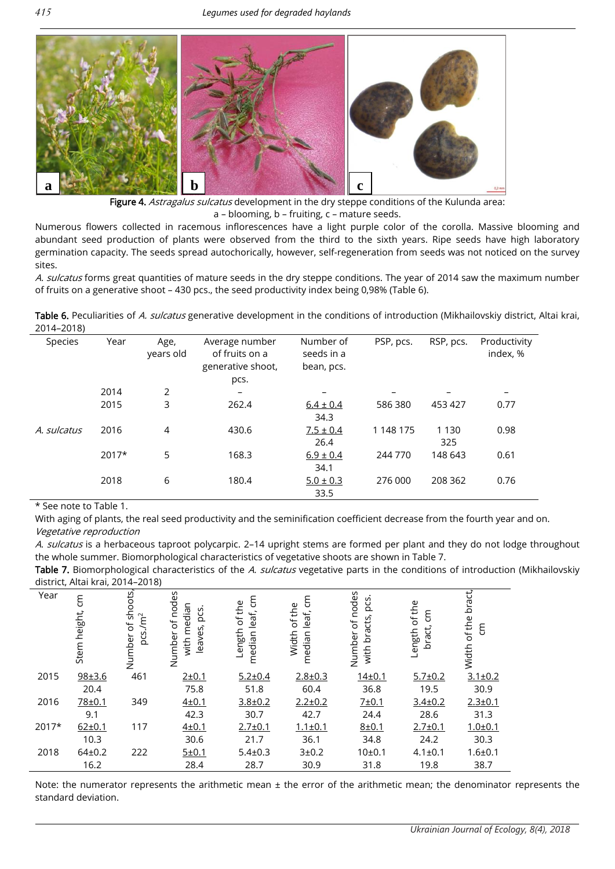

Figure 4. Astragalus sulcatus development in the dry steppe conditions of the Kulunda area: a – blooming, b – fruiting, c – mature seeds.

Numerous flowers collected in racemous inflorescences have a light purple color of the corolla. Massive blooming and abundant seed production of plants were observed from the third to the sixth years. Ripe seeds have high laboratory germination capacity. The seeds spread autochorically, however, self-regeneration from seeds was not noticed on the survey sites.

A. sulcatus forms great quantities of mature seeds in the dry steppe conditions. The year of 2014 saw the maximum number of fruits on a generative shoot – 430 pcs., the seed productivity index being 0,98% (Table 6).

Table 6. Peculiarities of A. sulcatus generative development in the conditions of introduction (Mikhailovskiy district, Altai krai, 2014–2018)

| <b>Species</b> | Year    | Age,<br>years old | Average number<br>of fruits on a<br>generative shoot, | Number of<br>seeds in a<br>bean, pcs. | PSP, pcs. | RSP, pcs. | Productivity<br>index, % |
|----------------|---------|-------------------|-------------------------------------------------------|---------------------------------------|-----------|-----------|--------------------------|
|                |         |                   | pcs.                                                  |                                       |           |           |                          |
|                | 2014    | 2                 |                                                       |                                       |           |           |                          |
|                | 2015    | 3                 | 262.4                                                 | $6.4 \pm 0.4$                         | 586 380   | 453 427   | 0.77                     |
|                |         |                   |                                                       | 34.3                                  |           |           |                          |
| A. sulcatus    | 2016    | 4                 | 430.6                                                 | $7.5 \pm 0.4$                         | 1 148 175 | 1 1 3 0   | 0.98                     |
|                |         |                   |                                                       | 26.4                                  |           | 325       |                          |
|                | $2017*$ | 5                 | 168.3                                                 | $6.9 \pm 0.4$                         | 244 770   | 148 643   | 0.61                     |
|                |         |                   |                                                       | 34.1                                  |           |           |                          |
|                | 2018    | 6                 | 180.4                                                 | $5.0 \pm 0.3$                         | 276 000   | 208 362   | 0.76                     |
|                |         |                   |                                                       | 33.5                                  |           |           |                          |

\* See note to Table 1.

With aging of plants, the real seed productivity and the seminification coefficient decrease from the fourth year and on. Vegetative reproduction

A. sulcatus is a herbaceous taproot polycarpic. 2-14 upright stems are formed per plant and they do not lodge throughout the whole summer. Biomorphological characteristics of vegetative shoots are shown in Table 7.

Table 7. Biomorphological characteristics of the A. sulcatus vegetative parts in the conditions of introduction (Mikhailovskiy district, Altai krai, 2014–2018)

| Year  | $\mathsf{g}% _{T}$<br>height,<br>Stem | shoots<br>/m <sup>2</sup><br>$\sigma$<br>pcs.<br>Number | Number of nodes<br>median<br>pcs.<br>leaves,<br>with | ξ<br>of the<br>leaf,<br>Length<br>median | ξ<br>of the<br>leaf,<br>Width<br>median | nodes<br>pcs.<br>bracts,<br>$\sigma$<br>Number<br>with | of the<br>ξ<br>bract,<br>Length | bract,<br>of the<br>ξ<br>Width |
|-------|---------------------------------------|---------------------------------------------------------|------------------------------------------------------|------------------------------------------|-----------------------------------------|--------------------------------------------------------|---------------------------------|--------------------------------|
| 2015  | 98±3.6                                | 461                                                     | 2 ± 0.1                                              | $5.2 \pm 0.4$                            | $2.8 \pm 0.3$                           | $14 + 0.1$                                             | $5.7 \pm 0.2$                   | $3.1 \pm 0.2$                  |
|       | 20.4                                  |                                                         | 75.8                                                 | 51.8                                     | 60.4                                    | 36.8                                                   | 19.5                            | 30.9                           |
| 2016  | 78±0.1                                | 349                                                     | $4 + 0.1$                                            | $3.8 \pm 0.2$                            | $2.2 \pm 0.2$                           | 7 ± 0.1                                                | $3.4 \pm 0.2$                   | $2.3 + 0.1$                    |
|       | 9.1                                   |                                                         | 42.3                                                 | 30.7                                     | 42.7                                    | 24.4                                                   | 28.6                            | 31.3                           |
| 2017* | $62 \pm 0.1$                          | 117                                                     | $4 + 0.1$                                            | $2.7 + 0.1$                              | $1.1 \pm 0.1$                           | $8 + 0.1$                                              | $2.7 + 0.1$                     | $1.0 + 0.1$                    |
|       | 10.3                                  |                                                         | 30.6                                                 | 21.7                                     | 36.1                                    | 34.8                                                   | 24.2                            | 30.3                           |
| 2018  | $64 \pm 0.2$                          | 222                                                     | 5 ± 0.1                                              | $5.4 \pm 0.3$                            | 3±0.2                                   | 10±0.1                                                 | $4.1 \pm 0.1$                   | $1.6 + 0.1$                    |
|       | 16.2                                  |                                                         | 28.4                                                 | 28.7                                     | 30.9                                    | 31.8                                                   | 19.8                            | 38.7                           |

Note: the numerator represents the arithmetic mean ± the error of the arithmetic mean; the denominator represents the standard deviation.